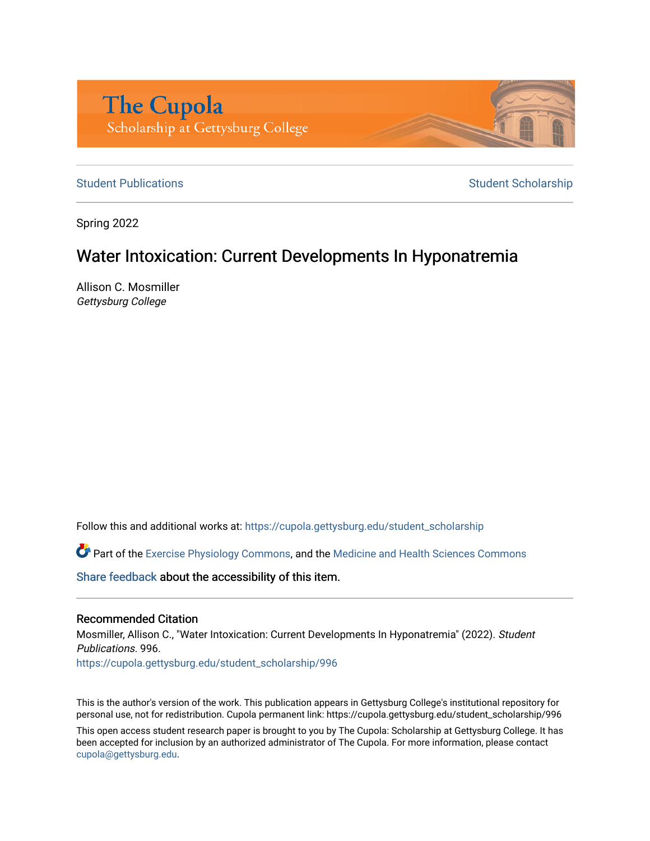

[Student Publications](https://cupola.gettysburg.edu/student_scholarship) **Student Scholarship** Student Scholarship

Spring 2022

# Water Intoxication: Current Developments In Hyponatremia

Allison C. Mosmiller Gettysburg College

Follow this and additional works at: [https://cupola.gettysburg.edu/student\\_scholarship](https://cupola.gettysburg.edu/student_scholarship?utm_source=cupola.gettysburg.edu%2Fstudent_scholarship%2F996&utm_medium=PDF&utm_campaign=PDFCoverPages) 

Part of the [Exercise Physiology Commons,](https://network.bepress.com/hgg/discipline/73?utm_source=cupola.gettysburg.edu%2Fstudent_scholarship%2F996&utm_medium=PDF&utm_campaign=PDFCoverPages) and the [Medicine and Health Sciences Commons](https://network.bepress.com/hgg/discipline/648?utm_source=cupola.gettysburg.edu%2Fstudent_scholarship%2F996&utm_medium=PDF&utm_campaign=PDFCoverPages)

[Share feedback](https://docs.google.com/a/bepress.com/forms/d/1h9eEcpBPj5POs5oO6Y5A0blXRmZqykoonyYiZUNyEq8/viewform) about the accessibility of this item.

#### Recommended Citation

Mosmiller, Allison C., "Water Intoxication: Current Developments In Hyponatremia" (2022). Student Publications. 996. [https://cupola.gettysburg.edu/student\\_scholarship/996](https://cupola.gettysburg.edu/student_scholarship/996?utm_source=cupola.gettysburg.edu%2Fstudent_scholarship%2F996&utm_medium=PDF&utm_campaign=PDFCoverPages)

This is the author's version of the work. This publication appears in Gettysburg College's institutional repository for personal use, not for redistribution. Cupola permanent link: https://cupola.gettysburg.edu/student\_scholarship/996

This open access student research paper is brought to you by The Cupola: Scholarship at Gettysburg College. It has been accepted for inclusion by an authorized administrator of The Cupola. For more information, please contact [cupola@gettysburg.edu.](mailto:cupola@gettysburg.edu)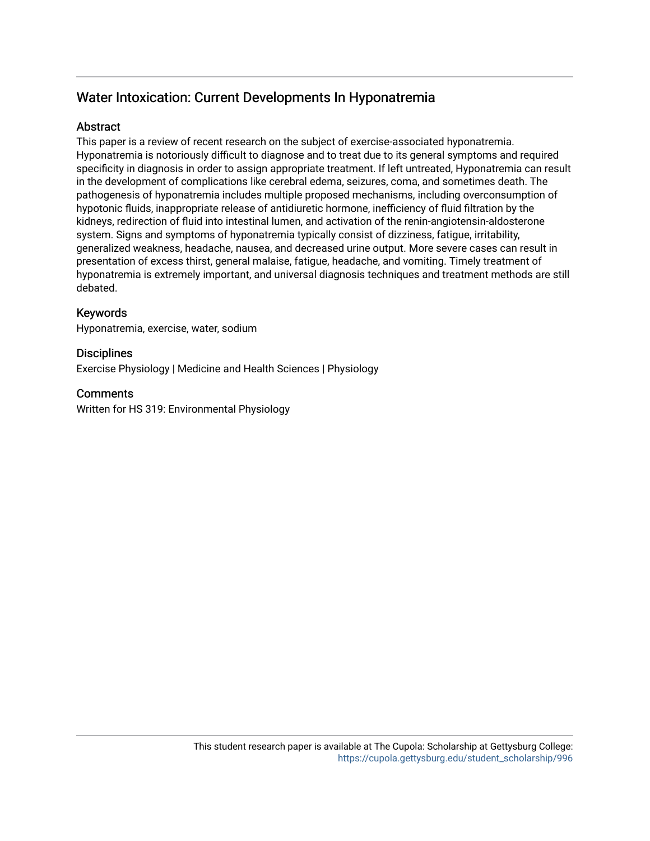# Water Intoxication: Current Developments In Hyponatremia

# **Abstract**

This paper is a review of recent research on the subject of exercise-associated hyponatremia. Hyponatremia is notoriously difficult to diagnose and to treat due to its general symptoms and required specificity in diagnosis in order to assign appropriate treatment. If left untreated, Hyponatremia can result in the development of complications like cerebral edema, seizures, coma, and sometimes death. The pathogenesis of hyponatremia includes multiple proposed mechanisms, including overconsumption of hypotonic fluids, inappropriate release of antidiuretic hormone, inefficiency of fluid filtration by the kidneys, redirection of fluid into intestinal lumen, and activation of the renin-angiotensin-aldosterone system. Signs and symptoms of hyponatremia typically consist of dizziness, fatigue, irritability, generalized weakness, headache, nausea, and decreased urine output. More severe cases can result in presentation of excess thirst, general malaise, fatigue, headache, and vomiting. Timely treatment of hyponatremia is extremely important, and universal diagnosis techniques and treatment methods are still debated.

# Keywords

Hyponatremia, exercise, water, sodium

# **Disciplines**

Exercise Physiology | Medicine and Health Sciences | Physiology

# **Comments**

Written for HS 319: Environmental Physiology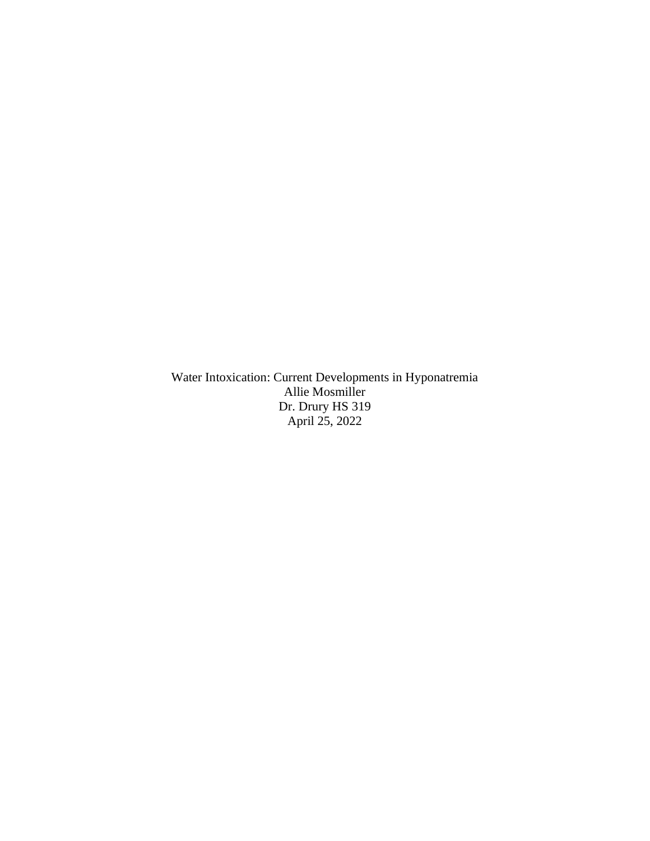Water Intoxication: Current Developments in Hyponatremia Allie Mosmiller Dr. Drury HS 319 April 25, 2022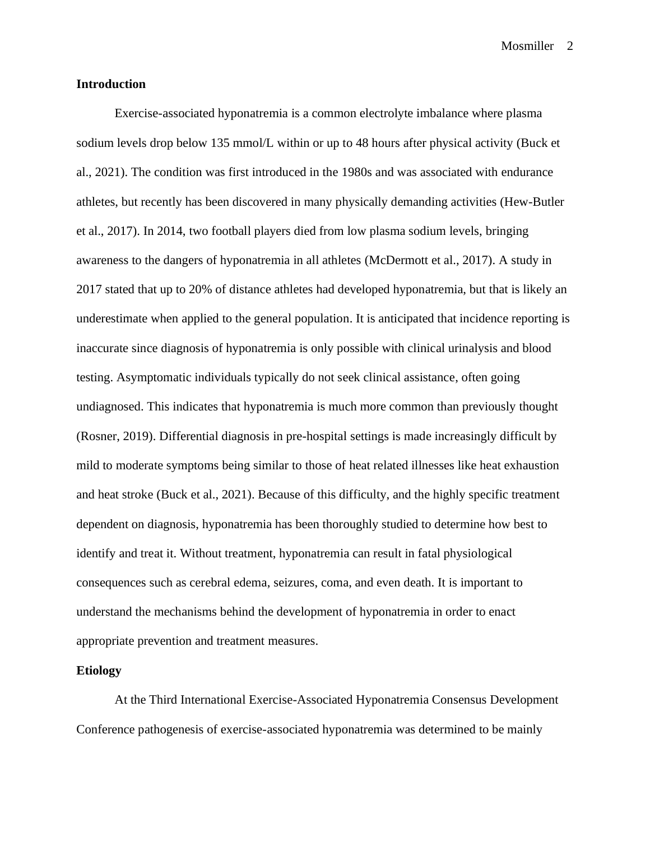#### **Introduction**

Exercise-associated hyponatremia is a common electrolyte imbalance where plasma sodium levels drop below 135 mmol/L within or up to 48 hours after physical activity (Buck et al., 2021). The condition was first introduced in the 1980s and was associated with endurance athletes, but recently has been discovered in many physically demanding activities (Hew-Butler et al., 2017). In 2014, two football players died from low plasma sodium levels, bringing awareness to the dangers of hyponatremia in all athletes (McDermott et al., 2017). A study in 2017 stated that up to 20% of distance athletes had developed hyponatremia, but that is likely an underestimate when applied to the general population. It is anticipated that incidence reporting is inaccurate since diagnosis of hyponatremia is only possible with clinical urinalysis and blood testing. Asymptomatic individuals typically do not seek clinical assistance, often going undiagnosed. This indicates that hyponatremia is much more common than previously thought (Rosner, 2019). Differential diagnosis in pre-hospital settings is made increasingly difficult by mild to moderate symptoms being similar to those of heat related illnesses like heat exhaustion and heat stroke (Buck et al., 2021). Because of this difficulty, and the highly specific treatment dependent on diagnosis, hyponatremia has been thoroughly studied to determine how best to identify and treat it. Without treatment, hyponatremia can result in fatal physiological consequences such as cerebral edema, seizures, coma, and even death. It is important to understand the mechanisms behind the development of hyponatremia in order to enact appropriate prevention and treatment measures.

#### **Etiology**

At the Third International Exercise-Associated Hyponatremia Consensus Development Conference pathogenesis of exercise-associated hyponatremia was determined to be mainly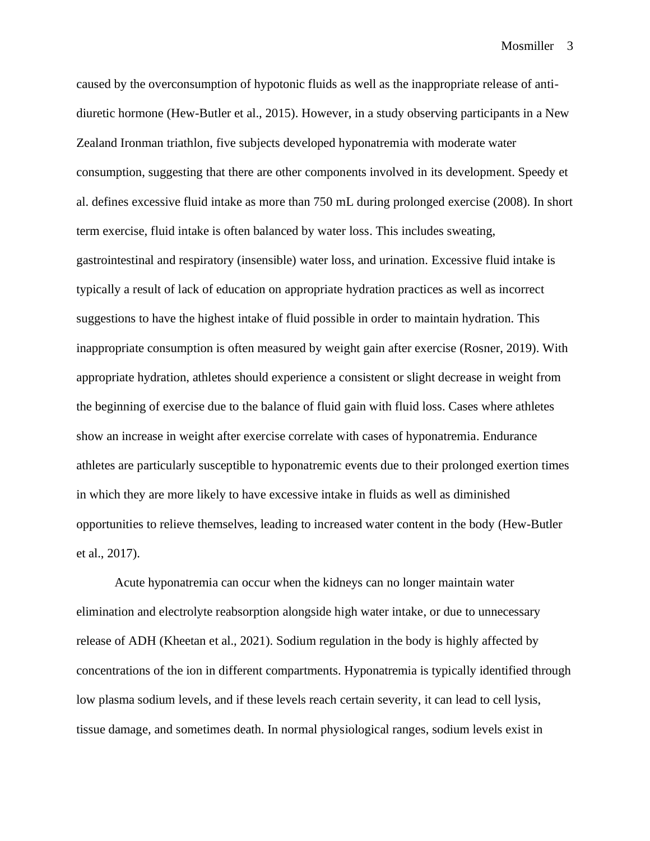caused by the overconsumption of hypotonic fluids as well as the inappropriate release of antidiuretic hormone (Hew-Butler et al., 2015). However, in a study observing participants in a New Zealand Ironman triathlon, five subjects developed hyponatremia with moderate water consumption, suggesting that there are other components involved in its development. Speedy et al. defines excessive fluid intake as more than 750 mL during prolonged exercise (2008). In short term exercise, fluid intake is often balanced by water loss. This includes sweating, gastrointestinal and respiratory (insensible) water loss, and urination. Excessive fluid intake is typically a result of lack of education on appropriate hydration practices as well as incorrect suggestions to have the highest intake of fluid possible in order to maintain hydration. This inappropriate consumption is often measured by weight gain after exercise (Rosner, 2019). With appropriate hydration, athletes should experience a consistent or slight decrease in weight from the beginning of exercise due to the balance of fluid gain with fluid loss. Cases where athletes show an increase in weight after exercise correlate with cases of hyponatremia. Endurance athletes are particularly susceptible to hyponatremic events due to their prolonged exertion times in which they are more likely to have excessive intake in fluids as well as diminished opportunities to relieve themselves, leading to increased water content in the body (Hew-Butler et al., 2017).

Acute hyponatremia can occur when the kidneys can no longer maintain water elimination and electrolyte reabsorption alongside high water intake, or due to unnecessary release of ADH (Kheetan et al., 2021). Sodium regulation in the body is highly affected by concentrations of the ion in different compartments. Hyponatremia is typically identified through low plasma sodium levels, and if these levels reach certain severity, it can lead to cell lysis, tissue damage, and sometimes death. In normal physiological ranges, sodium levels exist in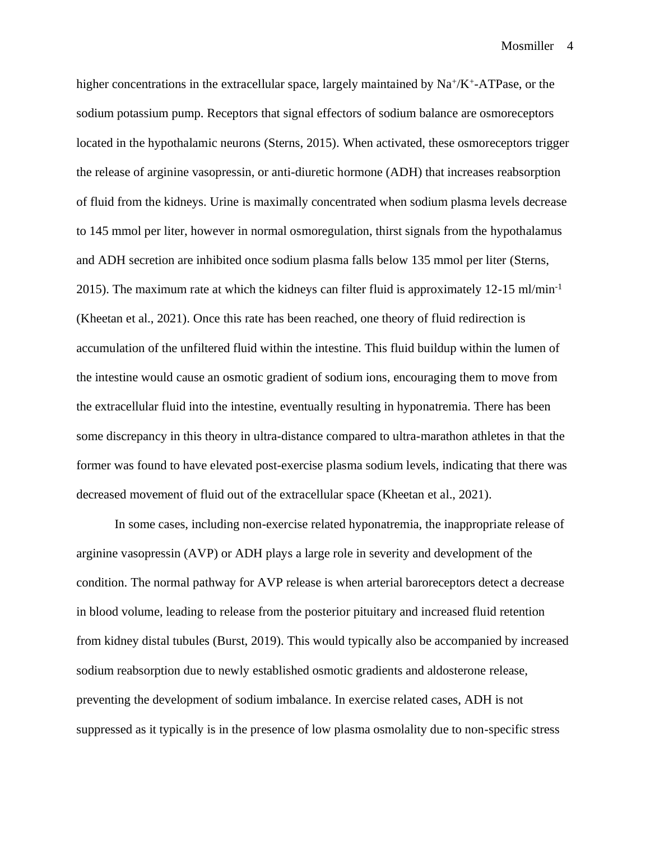higher concentrations in the extracellular space, largely maintained by  $Na^+/K^+$ -ATPase, or the sodium potassium pump. Receptors that signal effectors of sodium balance are osmoreceptors located in the hypothalamic neurons (Sterns, 2015). When activated, these osmoreceptors trigger the release of arginine vasopressin, or anti-diuretic hormone (ADH) that increases reabsorption of fluid from the kidneys. Urine is maximally concentrated when sodium plasma levels decrease to 145 mmol per liter, however in normal osmoregulation, thirst signals from the hypothalamus and ADH secretion are inhibited once sodium plasma falls below 135 mmol per liter (Sterns, 2015). The maximum rate at which the kidneys can filter fluid is approximately 12-15 ml/min-1 (Kheetan et al., 2021). Once this rate has been reached, one theory of fluid redirection is accumulation of the unfiltered fluid within the intestine. This fluid buildup within the lumen of the intestine would cause an osmotic gradient of sodium ions, encouraging them to move from the extracellular fluid into the intestine, eventually resulting in hyponatremia. There has been some discrepancy in this theory in ultra-distance compared to ultra-marathon athletes in that the former was found to have elevated post-exercise plasma sodium levels, indicating that there was decreased movement of fluid out of the extracellular space (Kheetan et al., 2021).

In some cases, including non-exercise related hyponatremia, the inappropriate release of arginine vasopressin (AVP) or ADH plays a large role in severity and development of the condition. The normal pathway for AVP release is when arterial baroreceptors detect a decrease in blood volume, leading to release from the posterior pituitary and increased fluid retention from kidney distal tubules (Burst, 2019). This would typically also be accompanied by increased sodium reabsorption due to newly established osmotic gradients and aldosterone release, preventing the development of sodium imbalance. In exercise related cases, ADH is not suppressed as it typically is in the presence of low plasma osmolality due to non-specific stress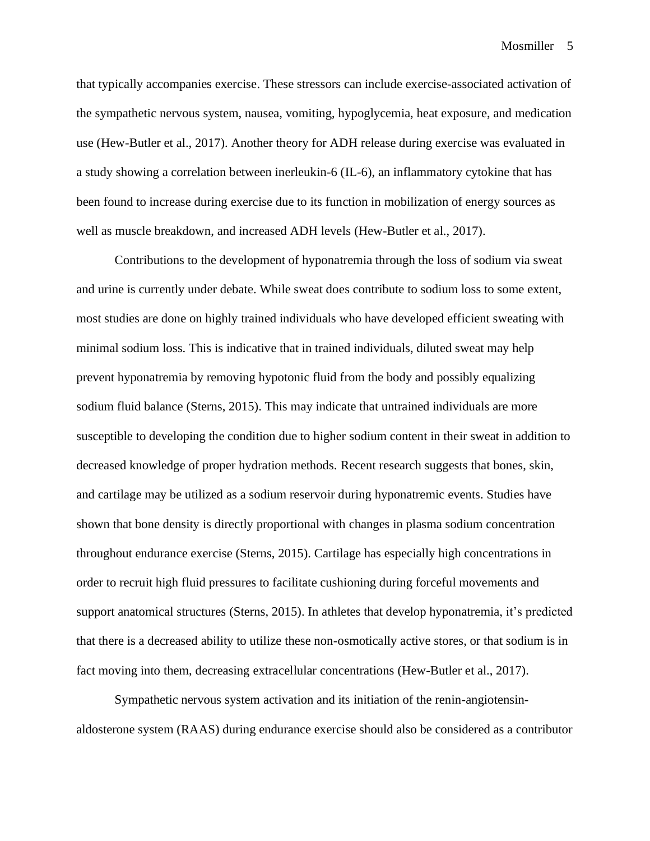that typically accompanies exercise. These stressors can include exercise-associated activation of the sympathetic nervous system, nausea, vomiting, hypoglycemia, heat exposure, and medication use (Hew-Butler et al., 2017). Another theory for ADH release during exercise was evaluated in a study showing a correlation between inerleukin-6 (IL-6), an inflammatory cytokine that has been found to increase during exercise due to its function in mobilization of energy sources as well as muscle breakdown, and increased ADH levels (Hew-Butler et al., 2017).

Contributions to the development of hyponatremia through the loss of sodium via sweat and urine is currently under debate. While sweat does contribute to sodium loss to some extent, most studies are done on highly trained individuals who have developed efficient sweating with minimal sodium loss. This is indicative that in trained individuals, diluted sweat may help prevent hyponatremia by removing hypotonic fluid from the body and possibly equalizing sodium fluid balance (Sterns, 2015). This may indicate that untrained individuals are more susceptible to developing the condition due to higher sodium content in their sweat in addition to decreased knowledge of proper hydration methods. Recent research suggests that bones, skin, and cartilage may be utilized as a sodium reservoir during hyponatremic events. Studies have shown that bone density is directly proportional with changes in plasma sodium concentration throughout endurance exercise (Sterns, 2015). Cartilage has especially high concentrations in order to recruit high fluid pressures to facilitate cushioning during forceful movements and support anatomical structures (Sterns, 2015). In athletes that develop hyponatremia, it's predicted that there is a decreased ability to utilize these non-osmotically active stores, or that sodium is in fact moving into them, decreasing extracellular concentrations (Hew-Butler et al., 2017).

Sympathetic nervous system activation and its initiation of the renin-angiotensinaldosterone system (RAAS) during endurance exercise should also be considered as a contributor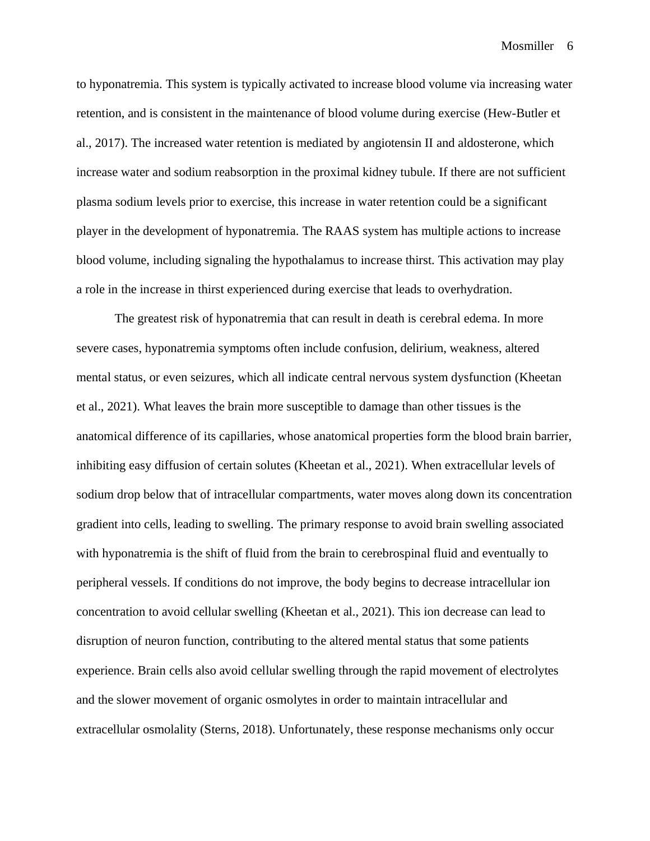to hyponatremia. This system is typically activated to increase blood volume via increasing water retention, and is consistent in the maintenance of blood volume during exercise (Hew-Butler et al., 2017). The increased water retention is mediated by angiotensin II and aldosterone, which increase water and sodium reabsorption in the proximal kidney tubule. If there are not sufficient plasma sodium levels prior to exercise, this increase in water retention could be a significant player in the development of hyponatremia. The RAAS system has multiple actions to increase blood volume, including signaling the hypothalamus to increase thirst. This activation may play a role in the increase in thirst experienced during exercise that leads to overhydration.

The greatest risk of hyponatremia that can result in death is cerebral edema. In more severe cases, hyponatremia symptoms often include confusion, delirium, weakness, altered mental status, or even seizures, which all indicate central nervous system dysfunction (Kheetan et al., 2021). What leaves the brain more susceptible to damage than other tissues is the anatomical difference of its capillaries, whose anatomical properties form the blood brain barrier, inhibiting easy diffusion of certain solutes (Kheetan et al., 2021). When extracellular levels of sodium drop below that of intracellular compartments, water moves along down its concentration gradient into cells, leading to swelling. The primary response to avoid brain swelling associated with hyponatremia is the shift of fluid from the brain to cerebrospinal fluid and eventually to peripheral vessels. If conditions do not improve, the body begins to decrease intracellular ion concentration to avoid cellular swelling (Kheetan et al., 2021). This ion decrease can lead to disruption of neuron function, contributing to the altered mental status that some patients experience. Brain cells also avoid cellular swelling through the rapid movement of electrolytes and the slower movement of organic osmolytes in order to maintain intracellular and extracellular osmolality (Sterns, 2018). Unfortunately, these response mechanisms only occur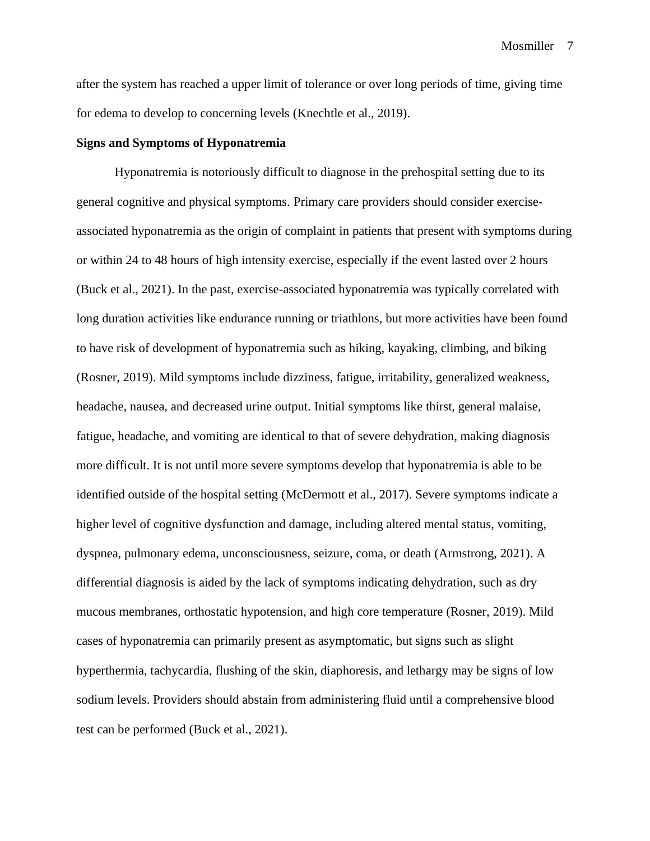after the system has reached a upper limit of tolerance or over long periods of time, giving time for edema to develop to concerning levels (Knechtle et al., 2019).

#### **Signs and Symptoms of Hyponatremia**

Hyponatremia is notoriously difficult to diagnose in the prehospital setting due to its general cognitive and physical symptoms. Primary care providers should consider exerciseassociated hyponatremia as the origin of complaint in patients that present with symptoms during or within 24 to 48 hours of high intensity exercise, especially if the event lasted over 2 hours (Buck et al., 2021). In the past, exercise-associated hyponatremia was typically correlated with long duration activities like endurance running or triathlons, but more activities have been found to have risk of development of hyponatremia such as hiking, kayaking, climbing, and biking (Rosner, 2019). Mild symptoms include dizziness, fatigue, irritability, generalized weakness, headache, nausea, and decreased urine output. Initial symptoms like thirst, general malaise, fatigue, headache, and vomiting are identical to that of severe dehydration, making diagnosis more difficult. It is not until more severe symptoms develop that hyponatremia is able to be identified outside of the hospital setting (McDermott et al., 2017). Severe symptoms indicate a higher level of cognitive dysfunction and damage, including altered mental status, vomiting, dyspnea, pulmonary edema, unconsciousness, seizure, coma, or death (Armstrong, 2021). A differential diagnosis is aided by the lack of symptoms indicating dehydration, such as dry mucous membranes, orthostatic hypotension, and high core temperature (Rosner, 2019). Mild cases of hyponatremia can primarily present as asymptomatic, but signs such as slight hyperthermia, tachycardia, flushing of the skin, diaphoresis, and lethargy may be signs of low sodium levels. Providers should abstain from administering fluid until a comprehensive blood test can be performed (Buck et al., 2021).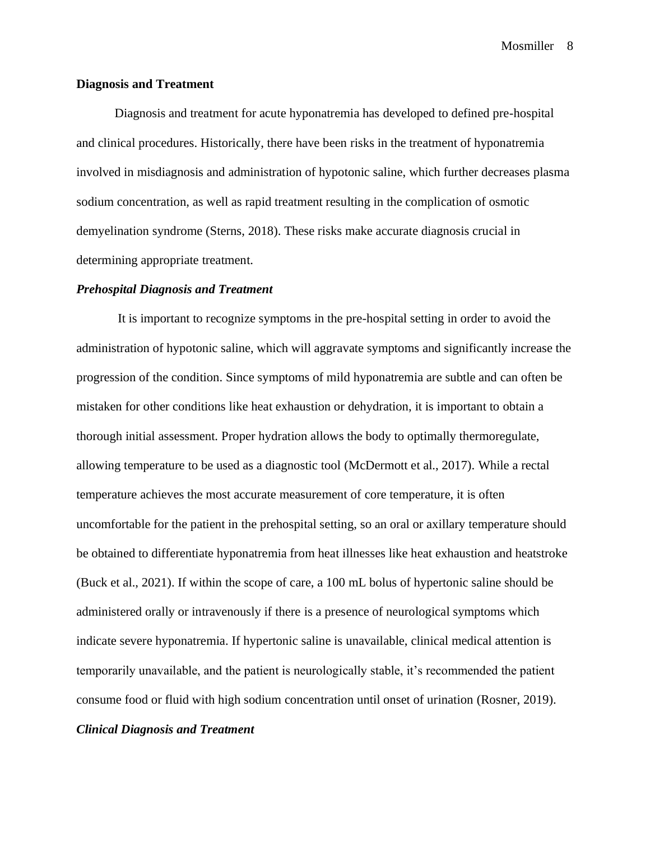#### **Diagnosis and Treatment**

Diagnosis and treatment for acute hyponatremia has developed to defined pre-hospital and clinical procedures. Historically, there have been risks in the treatment of hyponatremia involved in misdiagnosis and administration of hypotonic saline, which further decreases plasma sodium concentration, as well as rapid treatment resulting in the complication of osmotic demyelination syndrome (Sterns, 2018). These risks make accurate diagnosis crucial in determining appropriate treatment.

#### *Prehospital Diagnosis and Treatment*

It is important to recognize symptoms in the pre-hospital setting in order to avoid the administration of hypotonic saline, which will aggravate symptoms and significantly increase the progression of the condition. Since symptoms of mild hyponatremia are subtle and can often be mistaken for other conditions like heat exhaustion or dehydration, it is important to obtain a thorough initial assessment. Proper hydration allows the body to optimally thermoregulate, allowing temperature to be used as a diagnostic tool (McDermott et al., 2017). While a rectal temperature achieves the most accurate measurement of core temperature, it is often uncomfortable for the patient in the prehospital setting, so an oral or axillary temperature should be obtained to differentiate hyponatremia from heat illnesses like heat exhaustion and heatstroke (Buck et al., 2021). If within the scope of care, a 100 mL bolus of hypertonic saline should be administered orally or intravenously if there is a presence of neurological symptoms which indicate severe hyponatremia. If hypertonic saline is unavailable, clinical medical attention is temporarily unavailable, and the patient is neurologically stable, it's recommended the patient consume food or fluid with high sodium concentration until onset of urination (Rosner, 2019).

# *Clinical Diagnosis and Treatment*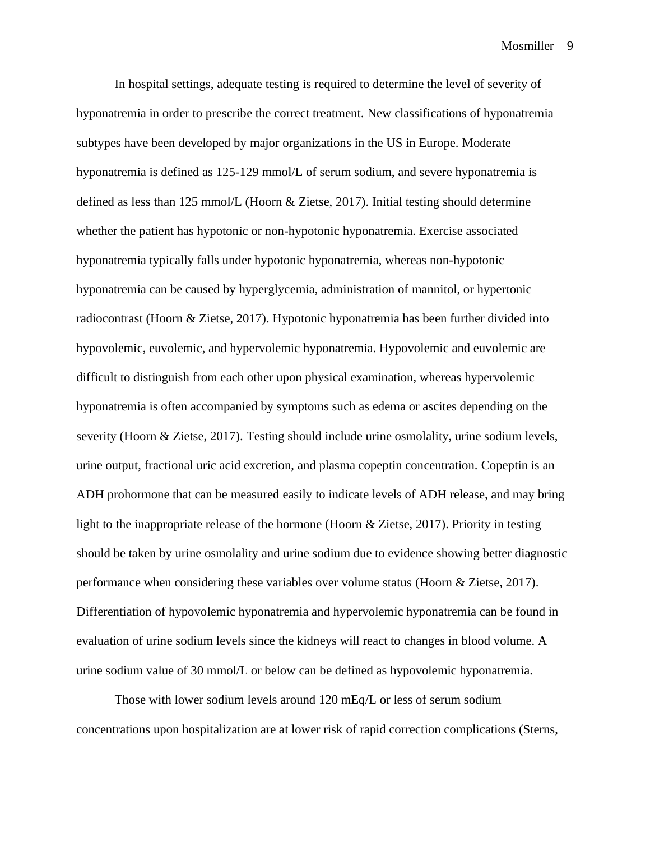In hospital settings, adequate testing is required to determine the level of severity of hyponatremia in order to prescribe the correct treatment. New classifications of hyponatremia subtypes have been developed by major organizations in the US in Europe. Moderate hyponatremia is defined as 125-129 mmol/L of serum sodium, and severe hyponatremia is defined as less than 125 mmol/L (Hoorn & Zietse, 2017). Initial testing should determine whether the patient has hypotonic or non-hypotonic hyponatremia. Exercise associated hyponatremia typically falls under hypotonic hyponatremia, whereas non-hypotonic hyponatremia can be caused by hyperglycemia, administration of mannitol, or hypertonic radiocontrast (Hoorn & Zietse, 2017). Hypotonic hyponatremia has been further divided into hypovolemic, euvolemic, and hypervolemic hyponatremia. Hypovolemic and euvolemic are difficult to distinguish from each other upon physical examination, whereas hypervolemic hyponatremia is often accompanied by symptoms such as edema or ascites depending on the severity (Hoorn & Zietse, 2017). Testing should include urine osmolality, urine sodium levels, urine output, fractional uric acid excretion, and plasma copeptin concentration. Copeptin is an ADH prohormone that can be measured easily to indicate levels of ADH release, and may bring light to the inappropriate release of the hormone (Hoorn & Zietse, 2017). Priority in testing should be taken by urine osmolality and urine sodium due to evidence showing better diagnostic performance when considering these variables over volume status (Hoorn & Zietse, 2017). Differentiation of hypovolemic hyponatremia and hypervolemic hyponatremia can be found in evaluation of urine sodium levels since the kidneys will react to changes in blood volume. A urine sodium value of 30 mmol/L or below can be defined as hypovolemic hyponatremia.

Those with lower sodium levels around 120 mEq/L or less of serum sodium concentrations upon hospitalization are at lower risk of rapid correction complications (Sterns,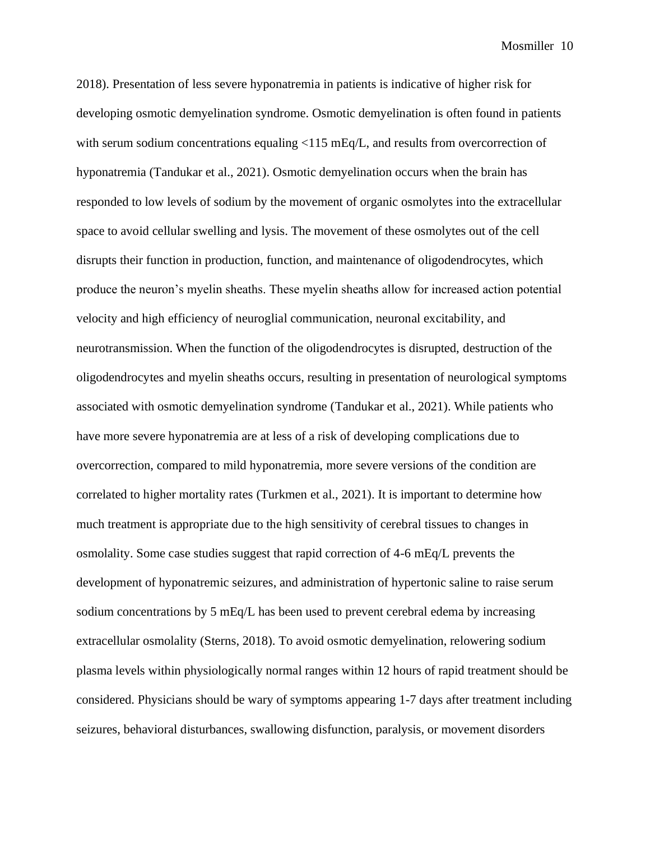2018). Presentation of less severe hyponatremia in patients is indicative of higher risk for developing osmotic demyelination syndrome. Osmotic demyelination is often found in patients with serum sodium concentrations equaling <115 mEq/L, and results from overcorrection of hyponatremia (Tandukar et al., 2021). Osmotic demyelination occurs when the brain has responded to low levels of sodium by the movement of organic osmolytes into the extracellular space to avoid cellular swelling and lysis. The movement of these osmolytes out of the cell disrupts their function in production, function, and maintenance of oligodendrocytes, which produce the neuron's myelin sheaths. These myelin sheaths allow for increased action potential velocity and high efficiency of neuroglial communication, neuronal excitability, and neurotransmission. When the function of the oligodendrocytes is disrupted, destruction of the oligodendrocytes and myelin sheaths occurs, resulting in presentation of neurological symptoms associated with osmotic demyelination syndrome (Tandukar et al., 2021). While patients who have more severe hyponatremia are at less of a risk of developing complications due to overcorrection, compared to mild hyponatremia, more severe versions of the condition are correlated to higher mortality rates (Turkmen et al., 2021). It is important to determine how much treatment is appropriate due to the high sensitivity of cerebral tissues to changes in osmolality. Some case studies suggest that rapid correction of 4-6 mEq/L prevents the development of hyponatremic seizures, and administration of hypertonic saline to raise serum sodium concentrations by 5 mEq/L has been used to prevent cerebral edema by increasing extracellular osmolality (Sterns, 2018). To avoid osmotic demyelination, relowering sodium plasma levels within physiologically normal ranges within 12 hours of rapid treatment should be considered. Physicians should be wary of symptoms appearing 1-7 days after treatment including seizures, behavioral disturbances, swallowing disfunction, paralysis, or movement disorders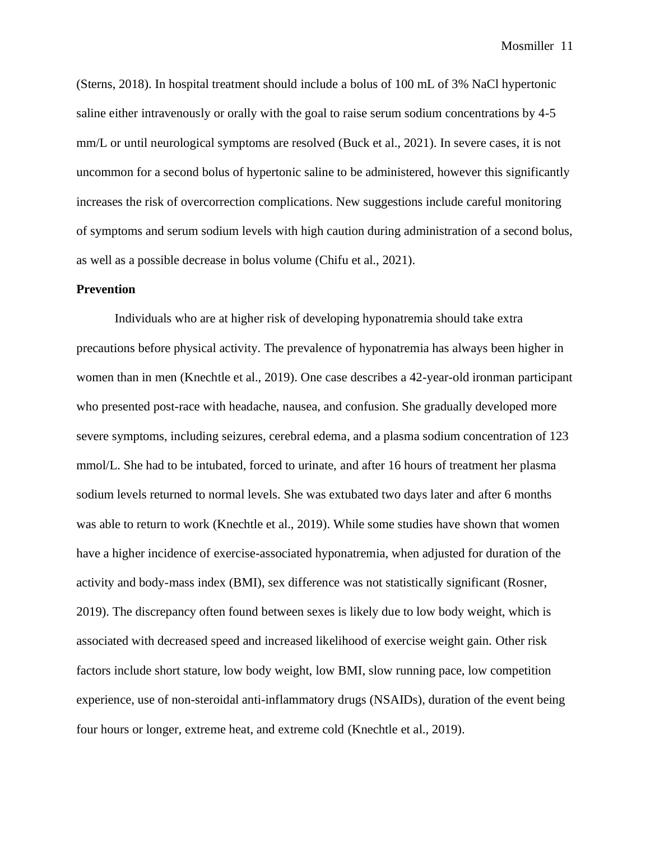(Sterns, 2018). In hospital treatment should include a bolus of 100 mL of 3% NaCl hypertonic saline either intravenously or orally with the goal to raise serum sodium concentrations by 4-5 mm/L or until neurological symptoms are resolved (Buck et al., 2021). In severe cases, it is not uncommon for a second bolus of hypertonic saline to be administered, however this significantly increases the risk of overcorrection complications. New suggestions include careful monitoring of symptoms and serum sodium levels with high caution during administration of a second bolus, as well as a possible decrease in bolus volume (Chifu et al., 2021).

#### **Prevention**

Individuals who are at higher risk of developing hyponatremia should take extra precautions before physical activity. The prevalence of hyponatremia has always been higher in women than in men (Knechtle et al., 2019). One case describes a 42-year-old ironman participant who presented post-race with headache, nausea, and confusion. She gradually developed more severe symptoms, including seizures, cerebral edema, and a plasma sodium concentration of 123 mmol/L. She had to be intubated, forced to urinate, and after 16 hours of treatment her plasma sodium levels returned to normal levels. She was extubated two days later and after 6 months was able to return to work (Knechtle et al., 2019). While some studies have shown that women have a higher incidence of exercise-associated hyponatremia, when adjusted for duration of the activity and body-mass index (BMI), sex difference was not statistically significant (Rosner, 2019). The discrepancy often found between sexes is likely due to low body weight, which is associated with decreased speed and increased likelihood of exercise weight gain. Other risk factors include short stature, low body weight, low BMI, slow running pace, low competition experience, use of non-steroidal anti-inflammatory drugs (NSAIDs), duration of the event being four hours or longer, extreme heat, and extreme cold (Knechtle et al., 2019).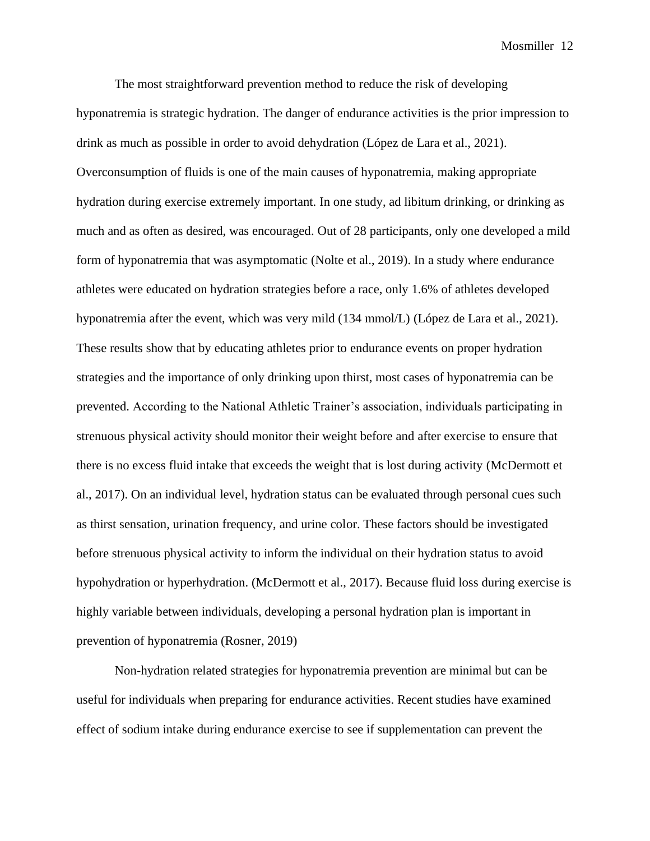The most straightforward prevention method to reduce the risk of developing hyponatremia is strategic hydration. The danger of endurance activities is the prior impression to drink as much as possible in order to avoid dehydration (López de Lara et al., 2021). Overconsumption of fluids is one of the main causes of hyponatremia, making appropriate hydration during exercise extremely important. In one study, ad libitum drinking, or drinking as much and as often as desired, was encouraged. Out of 28 participants, only one developed a mild form of hyponatremia that was asymptomatic (Nolte et al., 2019). In a study where endurance athletes were educated on hydration strategies before a race, only 1.6% of athletes developed hyponatremia after the event, which was very mild (134 mmol/L) (López de Lara et al., 2021). These results show that by educating athletes prior to endurance events on proper hydration strategies and the importance of only drinking upon thirst, most cases of hyponatremia can be prevented. According to the National Athletic Trainer's association, individuals participating in strenuous physical activity should monitor their weight before and after exercise to ensure that there is no excess fluid intake that exceeds the weight that is lost during activity (McDermott et al., 2017). On an individual level, hydration status can be evaluated through personal cues such as thirst sensation, urination frequency, and urine color. These factors should be investigated before strenuous physical activity to inform the individual on their hydration status to avoid hypohydration or hyperhydration. (McDermott et al., 2017). Because fluid loss during exercise is highly variable between individuals, developing a personal hydration plan is important in prevention of hyponatremia (Rosner, 2019)

Non-hydration related strategies for hyponatremia prevention are minimal but can be useful for individuals when preparing for endurance activities. Recent studies have examined effect of sodium intake during endurance exercise to see if supplementation can prevent the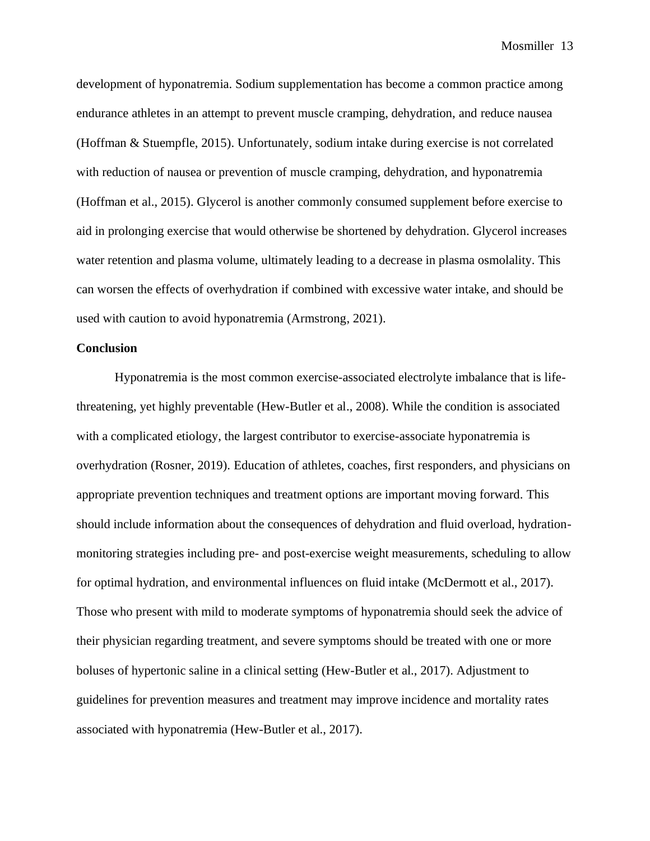development of hyponatremia. Sodium supplementation has become a common practice among endurance athletes in an attempt to prevent muscle cramping, dehydration, and reduce nausea (Hoffman & Stuempfle, 2015). Unfortunately, sodium intake during exercise is not correlated with reduction of nausea or prevention of muscle cramping, dehydration, and hyponatremia (Hoffman et al., 2015). Glycerol is another commonly consumed supplement before exercise to aid in prolonging exercise that would otherwise be shortened by dehydration. Glycerol increases water retention and plasma volume, ultimately leading to a decrease in plasma osmolality. This can worsen the effects of overhydration if combined with excessive water intake, and should be used with caution to avoid hyponatremia (Armstrong, 2021).

#### **Conclusion**

Hyponatremia is the most common exercise-associated electrolyte imbalance that is lifethreatening, yet highly preventable (Hew-Butler et al., 2008). While the condition is associated with a complicated etiology, the largest contributor to exercise-associate hyponatremia is overhydration (Rosner, 2019). Education of athletes, coaches, first responders, and physicians on appropriate prevention techniques and treatment options are important moving forward. This should include information about the consequences of dehydration and fluid overload, hydrationmonitoring strategies including pre- and post-exercise weight measurements, scheduling to allow for optimal hydration, and environmental influences on fluid intake (McDermott et al., 2017). Those who present with mild to moderate symptoms of hyponatremia should seek the advice of their physician regarding treatment, and severe symptoms should be treated with one or more boluses of hypertonic saline in a clinical setting (Hew-Butler et al., 2017). Adjustment to guidelines for prevention measures and treatment may improve incidence and mortality rates associated with hyponatremia (Hew-Butler et al., 2017).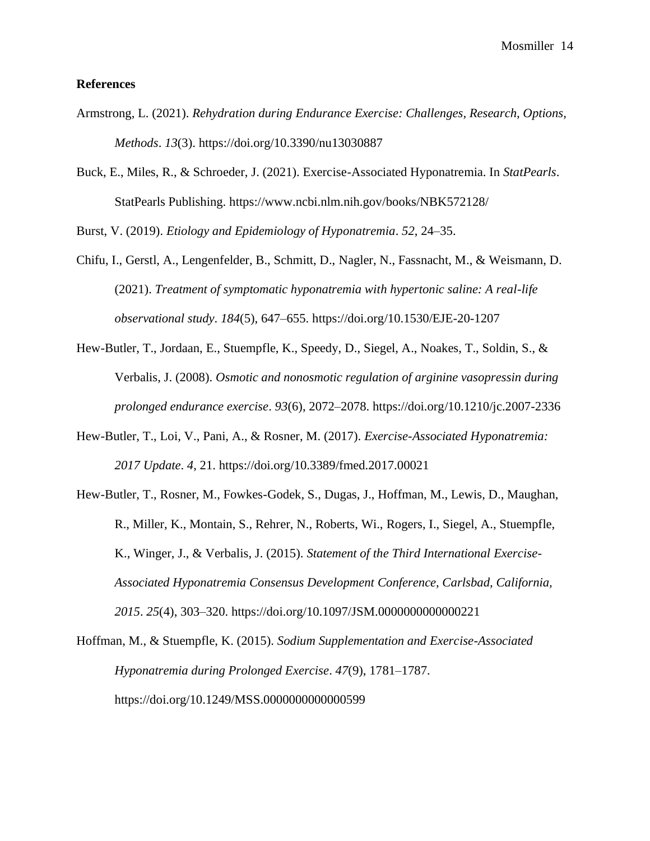#### **References**

- Armstrong, L. (2021). *Rehydration during Endurance Exercise: Challenges, Research, Options, Methods*. *13*(3). https://doi.org/10.3390/nu13030887
- Buck, E., Miles, R., & Schroeder, J. (2021). Exercise-Associated Hyponatremia. In *StatPearls*. StatPearls Publishing. https://www.ncbi.nlm.nih.gov/books/NBK572128/

Burst, V. (2019). *Etiology and Epidemiology of Hyponatremia*. *52*, 24–35.

- Chifu, I., Gerstl, A., Lengenfelder, B., Schmitt, D., Nagler, N., Fassnacht, M., & Weismann, D. (2021). *Treatment of symptomatic hyponatremia with hypertonic saline: A real-life observational study*. *184*(5), 647–655. https://doi.org/10.1530/EJE-20-1207
- Hew-Butler, T., Jordaan, E., Stuempfle, K., Speedy, D., Siegel, A., Noakes, T., Soldin, S., & Verbalis, J. (2008). *Osmotic and nonosmotic regulation of arginine vasopressin during prolonged endurance exercise*. *93*(6), 2072–2078. https://doi.org/10.1210/jc.2007-2336
- Hew-Butler, T., Loi, V., Pani, A., & Rosner, M. (2017). *Exercise-Associated Hyponatremia: 2017 Update*. *4*, 21. https://doi.org/10.3389/fmed.2017.00021
- Hew-Butler, T., Rosner, M., Fowkes-Godek, S., Dugas, J., Hoffman, M., Lewis, D., Maughan, R., Miller, K., Montain, S., Rehrer, N., Roberts, Wi., Rogers, I., Siegel, A., Stuempfle, K., Winger, J., & Verbalis, J. (2015). *Statement of the Third International Exercise-Associated Hyponatremia Consensus Development Conference, Carlsbad, California, 2015*. *25*(4), 303–320. https://doi.org/10.1097/JSM.0000000000000221
- Hoffman, M., & Stuempfle, K. (2015). *Sodium Supplementation and Exercise-Associated Hyponatremia during Prolonged Exercise*. *47*(9), 1781–1787. https://doi.org/10.1249/MSS.0000000000000599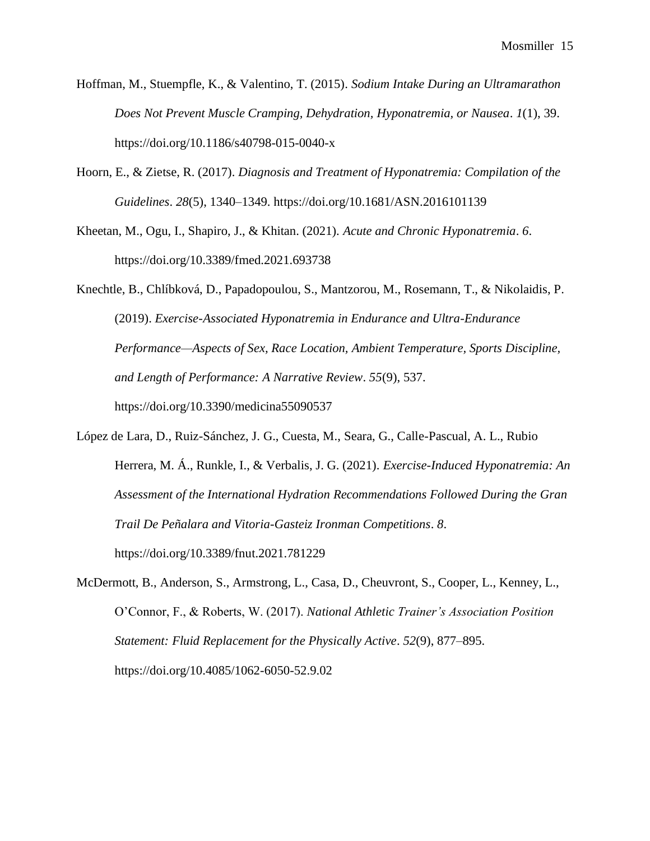- Hoffman, M., Stuempfle, K., & Valentino, T. (2015). *Sodium Intake During an Ultramarathon Does Not Prevent Muscle Cramping, Dehydration, Hyponatremia, or Nausea*. *1*(1), 39. https://doi.org/10.1186/s40798-015-0040-x
- Hoorn, E., & Zietse, R. (2017). *Diagnosis and Treatment of Hyponatremia: Compilation of the Guidelines*. *28*(5), 1340–1349. https://doi.org/10.1681/ASN.2016101139
- Kheetan, M., Ogu, I., Shapiro, J., & Khitan. (2021). *Acute and Chronic Hyponatremia*. *6*. https://doi.org/10.3389/fmed.2021.693738

Knechtle, B., Chlíbková, D., Papadopoulou, S., Mantzorou, M., Rosemann, T., & Nikolaidis, P. (2019). *Exercise-Associated Hyponatremia in Endurance and Ultra-Endurance Performance—Aspects of Sex, Race Location, Ambient Temperature, Sports Discipline, and Length of Performance: A Narrative Review*. *55*(9), 537. https://doi.org/10.3390/medicina55090537

- López de Lara, D., Ruiz-Sánchez, J. G., Cuesta, M., Seara, G., Calle-Pascual, A. L., Rubio Herrera, M. Á., Runkle, I., & Verbalis, J. G. (2021). *Exercise-Induced Hyponatremia: An Assessment of the International Hydration Recommendations Followed During the Gran Trail De Peñalara and Vitoria-Gasteiz Ironman Competitions*. *8*. https://doi.org/10.3389/fnut.2021.781229
- McDermott, B., Anderson, S., Armstrong, L., Casa, D., Cheuvront, S., Cooper, L., Kenney, L., O'Connor, F., & Roberts, W. (2017). *National Athletic Trainer's Association Position Statement: Fluid Replacement for the Physically Active*. *52*(9), 877–895. https://doi.org/10.4085/1062-6050-52.9.02